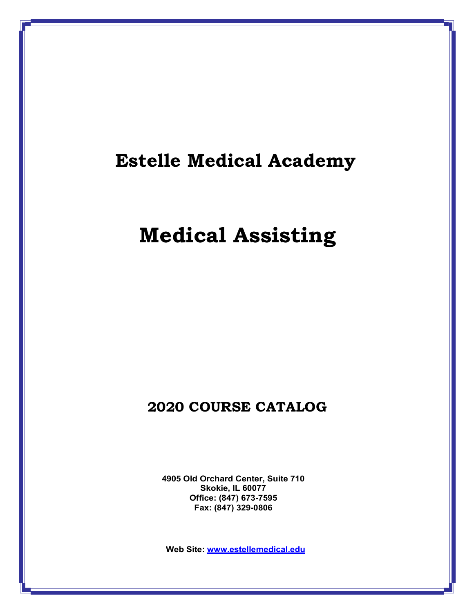# **Estelle Medical Academy**

# **Medical Assisting**

# **2020 COURSE CATALOG**

**4905 Old Orchard Center, Suite 710 Skokie, IL 60077 Office: (847) 673-7595 Fax: (847) 329-0806**

**Web Site: [www.estellemedical.edu](http://www.estellemedical.edu/)**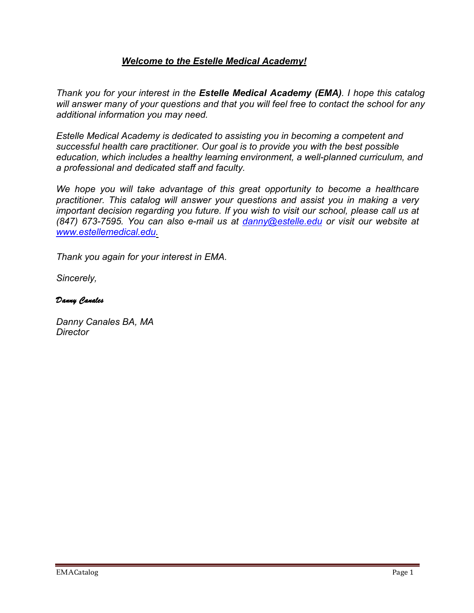# *Welcome to the Estelle Medical Academy!*

*Thank you for your interest in the Estelle Medical Academy (EMA). I hope this catalog will answer many of your questions and that you will feel free to contact the school for any additional information you may need.*

*Estelle Medical Academy is dedicated to assisting you in becoming a competent and successful health care practitioner. Our goal is to provide you with the best possible education, which includes a healthy learning environment, a well-planned curriculum, and a professional and dedicated staff and faculty.*

*We hope you will take advantage of this great opportunity to become a healthcare practitioner. This catalog will answer your questions and assist you in making a very important decision regarding you future. If you wish to visit our school, please call us at (847) 673-7595. You can also e-mail us at [danny@estelle.edu](mailto:danny@estelle.edu) or visit our website at [www.estellemedical.edu.](http://www.estellemedical.edu/)*

*Thank you again for your interest in EMA.* 

*Sincerely,*

## *Danny Canales*

*Danny Canales BA, MA Director*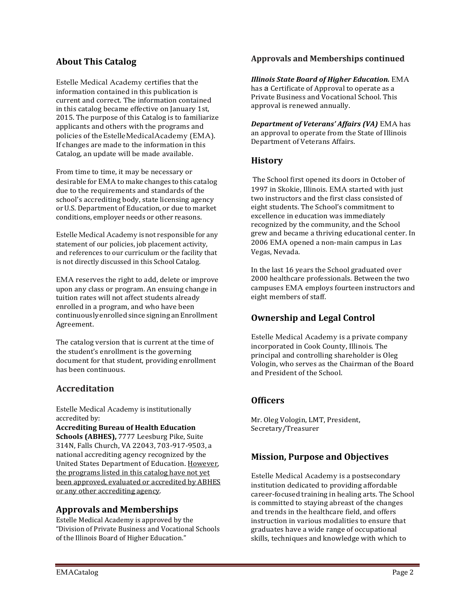# **About This Catalog**

Estelle Medical Academy certifies that the information contained in this publication is current and correct. The information contained in this catalog became effective on January 1st, 2015. The purpose of this Catalog is to familiarize applicants and others with the programs and policies of theEstelleMedicalAcademy (EMA). If changes are made to the information in this Catalog, an update will be made available.

From time to time, it may be necessary or desirable for EMA to make changes to this catalog due to the requirements and standards of the school's accrediting body, state licensing agency orU.S. Department of Education, or due to market conditions, employer needs or other reasons.

Estelle Medical Academy is not responsible for any statement of our policies, job placement activity, and references to our curriculum or the facility that is not directly discussed in this School Catalog.

EMA reserves the right to add, delete or improve upon any class or program. An ensuing change in tuition rates will not affect students already enrolled in a program, and who have been continuously enrolled since signing anEnrollment Agreement.

The catalog version that is current at the time of the student's enrollment is the governing document for that student, providing enrollment has been continuous.

## **Accreditation**

Estelle Medical Academy is institutionally accredited by:

**Accrediting Bureau of Health Education Schools (ABHES),** 7777 Leesburg Pike, Suite 314N, Falls Church, VA 22043, 703-917-9503, a national accrediting agency recognized by the United States Department of Education. However, the programs listed in this catalog have not yet been approved, evaluated or accredited by ABHES or any other accrediting agency.

## **Approvals and Memberships**

Estelle Medical Academy is approved by the "Division of Private Business and Vocational Schools of the Illinois Board of Higher Education."

## **Approvals and Memberships continued**

*Illinois State Board of Higher Education.* EMA has a Certificate of Approval to operate as a Private Business and Vocational School. This approval is renewed annually.

*Department of Veterans' Affairs (VA)* EMA has an approval to operate from the State of Illinois Department of Veterans Affairs.

## **History**

The School first opened its doors in October of 1997 in Skokie, Illinois. EMA started with just two instructors and the first class consisted of eight students. The School's commitment to excellence in education was immediately recognized by the community, and the School grew and became a thriving educational center. In 2006 EMA opened a non-main campus in Las Vegas, Nevada.

In the last 16 years the School graduated over 2000 healthcare professionals. Between the two campuses EMA employs fourteen instructors and eight members of staff.

## **Ownership and Legal Control**

Estelle Medical Academy is a private company incorporated in Cook County, Illinois. The principal and controlling shareholder is Oleg Vologin, who serves as the Chairman of the Board and President of the School.

## **Officers**

Mr. Oleg Vologin, LMT, President, Secretary/Treasurer

## **Mission, Purpose and Objectives**

Estelle Medical Academy is a postsecondary institution dedicated to providing affordable career-focused training in healing arts. The School is committed to staying abreast of the changes and trends in the healthcare field, and offers instruction in various modalities to ensure that graduates have a wide range of occupational skills, techniques and knowledge with which to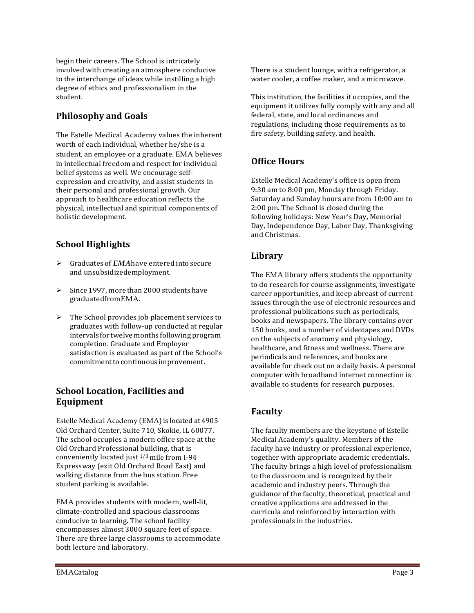begin their careers. The School is intricately involved with creating an atmosphere conducive to the interchange of ideas while instilling a high degree of ethics and professionalism in the student.

# **Philosophy and Goals**

The Estelle Medical Academy values the inherent worth of each individual, whether he/she is a student, an employee or a graduate. EMA believes in intellectual freedom and respect for individual belief systems as well. We encourage selfexpression and creativity, and assist students in their personal and professional growth. Our approach to healthcare education reflects the physical, intellectual and spiritual components of holistic development.

# **School Highlights**

- Graduates of *EMA*have entered intosecure and unsubsidizedemployment.
- $\triangleright$  Since 1997, more than 2000 students have graduatedfromEMA.
- $\triangleright$  The School provides job placement services to graduates with follow-up conducted at regular intervals for twelve months following program completion. Graduate and Employer satisfaction is evaluated as part of the School's commitmentto continuous improvement.

## **School Location, Facilities and Equipment**

Estelle Medical Academy (EMA) is located at 4905 Old Orchard Center, Suite 710, Skokie, IL 60077. The school occupies a modern office space at the Old Orchard Professional building, that is conveniently located just 1/3 mile from I-94 Expressway (exit Old Orchard Road East) and walking distance from the bus station. Free student parking is available.

EMA provides students with modern, well-lit, climate-controlled and spacious classrooms conducive to learning. The school facility encompasses almost 3000 square feet of space. There are three large classrooms to accommodate both lecture and laboratory.

There is a student lounge, with a refrigerator, a water cooler, a coffee maker, and a microwave.

This institution, the facilities it occupies, and the equipment it utilizes fully comply with any and all federal, state, and local ordinances and regulations, including those requirements as to fire safety, building safety, and health.

# **Office Hours**

Estelle Medical Academy's office is open from 9:30 am to 8:00 pm, Monday through Friday. Saturday and Sunday hours are from 10:00 am to 2:00 pm. The School is closed during the following holidays: New Year's Day, Memorial Day, Independence Day, Labor Day, Thanksgiving and Christmas.

# **Library**

The EMA library offers students the opportunity to do research for course assignments, investigate career opportunities, and keep abreast of current issues through the use of electronic resources and professional publications such as periodicals, books and newspapers. The library contains over 150 books, and a number of videotapes and DVDs on the subjects of anatomy and physiology, healthcare, and fitness and wellness. There are periodicals and references, and books are available for check out on a daily basis. A personal computer with broadband internet connection is available to students for research purposes.

# **Faculty**

The faculty members are the keystone of Estelle Medical Academy's quality. Members of the faculty have industry or professional experience, together with appropriate academic credentials. The faculty brings a high level of professionalism to the classroom and is recognized by their academic and industry peers. Through the guidance of the faculty, theoretical, practical and creative applications are addressed in the curricula and reinforced by interaction with professionals in the industries.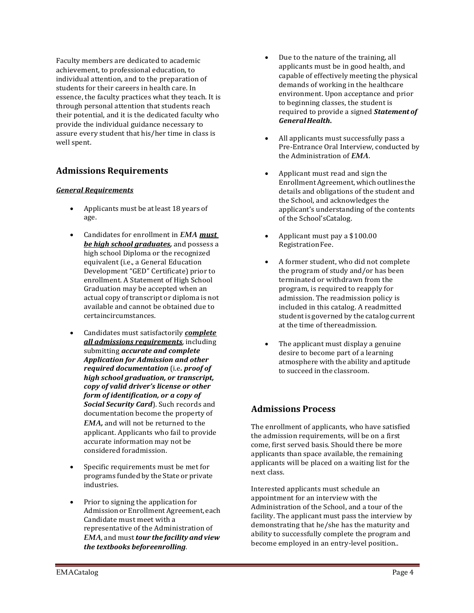Faculty members are dedicated to academic achievement, to professional education, to individual attention, and to the preparation of students for their careers in health care. In essence, the faculty practices what they teach. It is through personal attention that students reach their potential, and it is the dedicated faculty who provide the individual guidance necessary to assure every student that his/her time in class is well spent.

# **Admissions Requirements**

### *General Requirements*

- Applicants must be at least 18 years of age.
- Candidates for enrollment in *EMA must be high school graduates,* and possess a high school Diploma or the recognized equivalent (i.e., a General Education Development "GED" Certificate) prior to enrollment. A Statement of High School Graduation may be accepted when an actual copy of transcript or diploma is not available and cannot be obtained due to certaincircumstances.
- Candidates must satisfactorily *complete all admissions requirements*, including submitting *accurate and complete Application for Admission and other required documentation* (i.e*. proof of high school graduation, or transcript, copy of valid driver's license or other form of identification, or a copy of Social Security Card*). Such records and documentation become the property of *EMA,* and will not be returned to the applicant. Applicants who fail to provide accurate information may not be considered foradmission.
- Specific requirements must be met for programs funded by the State or private industries.
- Prior to signing the application for Admissionor EnrollmentAgreement, each Candidate must meet with a representative of the Administration of *EMA*, and must*tour the facility and view the textbooks beforeenrolling*.
- Due to the nature of the training, all applicants must be in good health, and capable of effectively meeting the physical demands of working in the healthcare environment. Upon acceptance and prior to beginning classes, the student is required to provide a signed *Statementof GeneralHealth***.**
- All applicants must successfully pass a Pre-Entrance Oral Interview, conducted by the Administration of *EMA*.
- Applicant must read and sign the Enrollment Agreement, which outlines the details and obligations of the student and the School, and acknowledges the applicant's understanding of the contents of the School'sCatalog.
- Applicant must pay a \$100.00 Registration Fee.
- A former student, who did not complete the program of study and/or has been terminated or withdrawn from the program, is required to reapply for admission. The readmission policy is included in this catalog. A readmitted studentis governed by the catalog current at the time of thereadmission.
- The applicant must display a genuine desire to become part of a learning atmosphere with the ability and aptitude to succeed in the classroom.

# **Admissions Process**

The enrollment of applicants, who have satisfied the admission requirements, will be on a first come, first served basis. Should there be more applicants than space available, the remaining applicants will be placed on a waiting list for the next class.

Interested applicants must schedule an appointment for an interview with the Administration of the School, and a tour of the facility. The applicant must pass the interview by demonstrating that he/she has the maturity and ability to successfully complete the program and become employed in an entry-level position..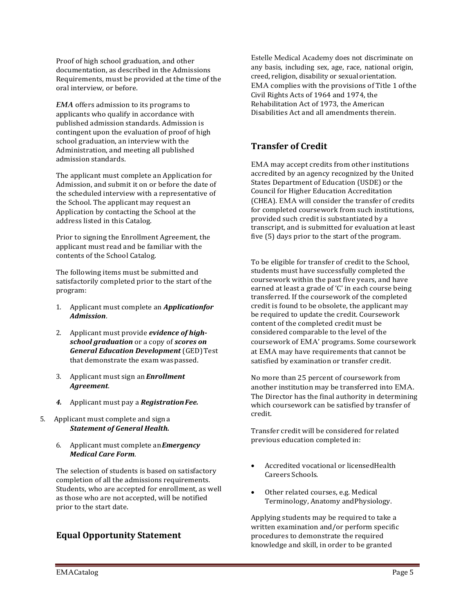Proof of high school graduation, and other documentation, as described in the Admissions Requirements, must be provided at the time of the oral interview, or before.

*EMA* offers admission to its programs to applicants who qualify in accordance with published admission standards. Admission is contingent upon the evaluation of proof of high school graduation, an interview with the Administration, and meeting all published admission standards.

The applicant must complete an Application for Admission, and submit it on or before the date of the scheduled interview with a representative of the School. The applicant may request an Application by contacting the School at the address listed in this Catalog.

Prior to signing the Enrollment Agreement, the applicant must read and be familiar with the contents of the School Catalog.

The following items must be submitted and satisfactorily completed prior to the start of the program:

- 1. Applicant must complete an *Applicationfor Admission*.
- 2. Applicant must provide *evidence of highschool graduation* or a copy of *scores on General Education Development* (GED) Test that demonstrate the exam waspassed.
- 3. Applicant must sign an *Enrollment Agreement*.
- *4.* Applicant must pay a *RegistrationFee.*
- 5. Applicant must complete and signa *Statement of General Health.*
	- 6. Applicant must complete an*Emergency Medical Care Form*.

The selection of students is based on satisfactory completion of all the admissions requirements. Students, who are accepted for enrollment, as well as those who are not accepted, will be notified prior to the start date.

# **Equal Opportunity Statement**

Estelle Medical Academy does not discriminate on any basis, including sex, age, race, national origin, creed, religion, disability or sexual orientation. EMA complies with the provisions of Title 1 ofthe Civil Rights Acts of 1964 and 1974, the Rehabilitation Act of 1973, the American Disabilities Act and all amendments therein.

# **Transfer of Credit**

EMA may accept credits from other institutions accredited by an agency recognized by the United States Department of Education (USDE) or the Council for Higher Education Accreditation (CHEA). EMA will consider the transfer of credits for completed coursework from such institutions, provided such credit is substantiated by a transcript, and is submitted for evaluation at least five (5) days prior to the start of the program.

To be eligible for transfer of credit to the School, students must have successfully completed the coursework within the past five years, and have earned at least a grade of 'C' in each course being transferred. If the coursework of the completed credit is found to be obsolete, the applicant may be required to update the credit. Coursework content of the completed credit must be considered comparable to the level of the coursework of EMA' programs. Some coursework at EMA may have requirements that cannot be satisfied by examination or transfer credit.

No more than 25 percent of coursework from another institution may be transferred into EMA. The Director has the final authority in determining which coursework can be satisfied by transfer of credit.

Transfer credit will be considered for related previous education completed in:

- Accredited vocational or licensedHealth Careers Schools.
- Other related courses, e.g. Medical Terminology, Anatomy andPhysiology.

Applying students may be required to take a written examination and/or perform specific procedures to demonstrate the required knowledge and skill, in order to be granted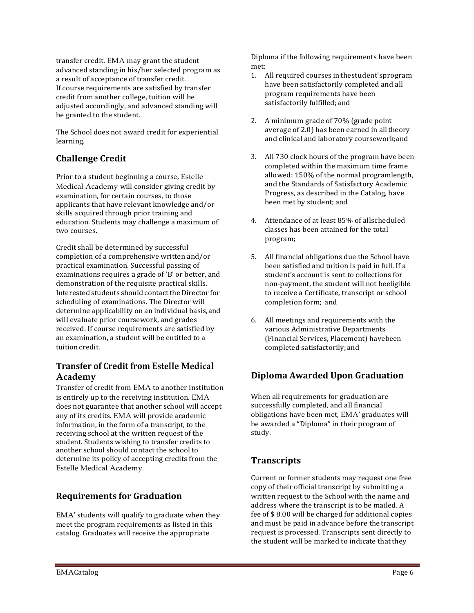transfer credit. EMA may grant the student advanced standing in his/her selected program as a result of acceptance of transfer credit. If course requirements are satisfied by transfer credit from another college, tuition will be adjusted accordingly, and advanced standing will be granted to the student.

The School does not award credit for experiential learning.

# **Challenge Credit**

Prior to a student beginning a course, Estelle Medical Academy will consider giving credit by examination, for certain courses, to those applicants that have relevant knowledge and/or skills acquired through prior training and education. Students may challenge a maximum of two courses.

Credit shall be determined by successful completion of a comprehensive written and/or practical examination. Successful passing of examinations requires a grade of 'B' or better, and demonstration of the requisite practical skills. Interested students should contact the Director for scheduling of examinations. The Director will determine applicability on an individual basis,and will evaluate prior coursework, and grades received. If course requirements are satisfied by an examination, a student will be entitled to a tuition credit.

# **Transfer of Credit from Estelle Medical Academy**

Transfer of credit from EMA to another institution is entirely up to the receiving institution. EMA does not guarantee that another school will accept any of its credits. EMA will provide academic information, in the form of a transcript, to the receiving school at the written request of the student. Students wishing to transfer credits to another school should contact the school to determine its policy of accepting credits from the Estelle Medical Academy.

# **Requirements for Graduation**

EMA' students will qualify to graduate when they meet the program requirements as listed in this catalog. Graduates will receive the appropriate

Diploma if the following requirements have been met:

- 1. All required courses inthestudent'sprogram have been satisfactorily completed and all program requirements have been satisfactorily fulfilled; and
- 2. A minimum grade of 70% (grade point average of 2.0) has been earned in alltheory and clinical and laboratory coursework;and
- 3. All 730 clock hours of the program have been completed within the maximum time frame allowed: 150% of the normal programlength, and the Standards of Satisfactory Academic Progress, as described in the Catalog, have been met by student; and
- 4. Attendance of at least 85% of allscheduled classes has been attained for the total program;
- 5. All financial obligations due the School have been satisfied and tuition is paid in full. If a student's account is sent to collections for non-payment, the student will not beeligible to receive a Certificate, transcript or school completion form; and
- 6. All meetings and requirements with the various Administrative Departments (Financial Services, Placement) havebeen completed satisfactorily; and

# **Diploma Awarded Upon Graduation**

When all requirements for graduation are successfully completed, and all financial obligations have been met, EMA' graduates will be awarded a "Diploma" in their program of study.

# **Transcripts**

Current or former students may request one free copy of their official transcript by submitting a written request to the School with the name and address where the transcript is to be mailed. A fee of \$ 8.00 will be charged for additional copies and must be paid in advance before thetranscript request is processed. Transcripts sent directly to the student will be marked to indicate that they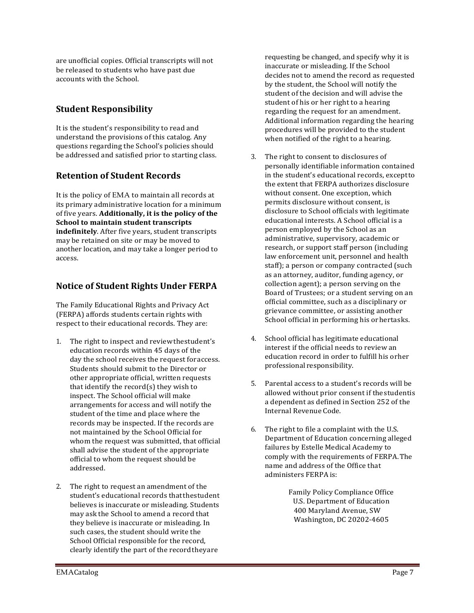are unofficial copies. Official transcripts will not be released to students who have past due accounts with the School.

# **Student Responsibility**

It is the student's responsibility to read and understand the provisions of this catalog. Any questions regarding the School's policies should be addressed and satisfied prior to starting class.

# **Retention of Student Records**

It is the policy of EMA to maintain all records at its primary administrative location for a minimum of five years. **Additionally, it is the policy of the School to maintain student transcripts indefinitely**. After five years, student transcripts may be retained on site or may be moved to another location, and may take a longer period to access.

# **Notice of Student Rights Under FERPA**

The Family Educational Rights and Privacy Act (FERPA) affords students certain rights with respect to their educational records. They are:

- 1. The right to inspect and reviewthestudent's education records within 45 days of the day the school receives the request foraccess. Students should submit to the Director or other appropriate official, written requests that identify the record(s) they wish to inspect. The School official will make arrangements for access and will notify the student of the time and place where the records may be inspected. If the records are not maintained by the School Official for whom the request was submitted, that official shall advise the student of the appropriate official to whom the request should be addressed.
- 2. The right to request an amendment of the student's educational records thatthestudent believes is inaccurate or misleading. Students may ask the School to amend a record that they believe is inaccurate or misleading. In such cases, the student should write the School Official responsible for the record, clearly identify the part of the recordtheyare

requesting be changed, and specify why it is inaccurate or misleading. If the School decides not to amend the record as requested by the student, the School will notify the student of the decision and will advise the student of his or her right to a hearing regarding the request for an amendment. Additional information regarding the hearing procedures will be provided to the student when notified of the right to a hearing.

- 3. The right to consent to disclosures of personally identifiable information contained in the student's educational records, exceptto the extent that FERPA authorizes disclosure without consent. One exception, which permits disclosure without consent, is disclosure to School officials with legitimate educational interests. A School official is a person employed by the School as an administrative, supervisory, academic or research, or support staff person (including law enforcement unit, personnel and health staff); a person or company contracted (such as an attorney, auditor, funding agency, or collection agent); a person serving on the Board of Trustees; or a student serving on an official committee, such as a disciplinary or grievance committee, or assisting another School official in performing his orhertasks.
- 4. School official has legitimate educational interest if the official needs to review an education record in order to fulfill his orher professional responsibility.
- 5. Parental access to a student's records will be allowed without prior consent if thestudentis a dependent as defined in Section 252 of the Internal Revenue Code.
- 6. The right to file a complaint with the U.S. Department of Education concerning alleged failures by Estelle Medical Academy to comply with the requirements of FERPA.The name and address of the Office that administers FERPA is:

Family Policy Compliance Office U.S. Department of Education 400 Maryland Avenue, SW Washington, DC 20202-4605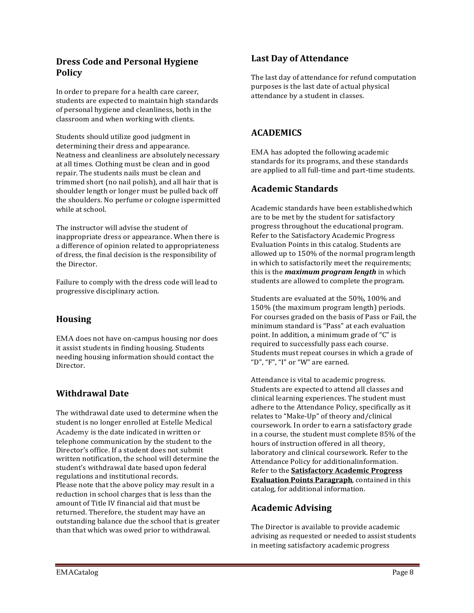## **Dress Code and Personal Hygiene Policy**

In order to prepare for a health care career, students are expected to maintain high standards of personal hygiene and cleanliness, both in the classroom and when working with clients.

Students should utilize good judgment in determining their dress and appearance. Neatness and cleanliness are absolutelynecessary at all times. Clothing must be clean and in good repair. The students nails must be clean and trimmed short (no nail polish), and all hair that is shoulder length or longer must be pulled back off the shoulders. No perfume or cologne ispermitted while at school.

The instructor will advise the student of inappropriate dress or appearance. When there is a difference of opinion related to appropriateness of dress, the final decision is the responsibility of the Director.

Failure to comply with the dress code will lead to progressive disciplinary action.

# **Housing**

EMA does not have on-campus housing nor does it assist students in finding housing. Students needing housing information should contact the Director.

# **Withdrawal Date**

The withdrawal date used to determine when the student is no longer enrolled at Estelle Medical Academy is the date indicated in written or telephone communication by the student to the Director's office. If a student does not submit written notification, the school will determine the student's withdrawal date based upon federal regulations and institutional records. Please note that the above policy may result in a reduction in school charges that is less than the amount of Title IV financial aid that must be returned. Therefore, the student may have an outstanding balance due the school that is greater than that which was owed prior to withdrawal.

# **Last Day of Attendance**

The last day of attendance for refund computation purposes is the last date of actual physical attendance by a student in classes.

# **ACADEMICS**

EMA has adopted the following academic standards for its programs, and these standards are applied to all full-time and part-time students.

# **Academic Standards**

Academic standards have been establishedwhich are to be met by the student for satisfactory progress throughout the educational program. Refer to the Satisfactory Academic Progress Evaluation Points in this catalog. Students are allowed up to 150% of the normal programlength in which to satisfactorily meet the requirements; this is the *maximum program length* in which students are allowed to complete the program.

Students are evaluated at the 50%, 100% and 150% (the maximum program length) periods. For courses graded on the basis of Pass or Fail, the minimum standard is "Pass" at each evaluation point. In addition, a minimum grade of "C" is required to successfully pass each course. Students must repeat courses in which a grade of "D", "F", "I" or "W" are earned.

Attendance is vital to academic progress. Students are expected to attend all classes and clinical learning experiences. The student must adhere to the Attendance Policy, specifically as it relates to "Make-Up" of theory and/clinical coursework. In order to earn a satisfactory grade in a course, the student must complete 85% of the hours of instruction offered in all theory, laboratory and clinical coursework. Refer to the Attendance Policy for additionalinformation. Refer to the **Satisfactory Academic Progress Evaluation Points Paragraph**, contained in this catalog, for additional information.

## **Academic Advising**

The Director is available to provide academic advising as requested or needed to assist students in meeting satisfactory academic progress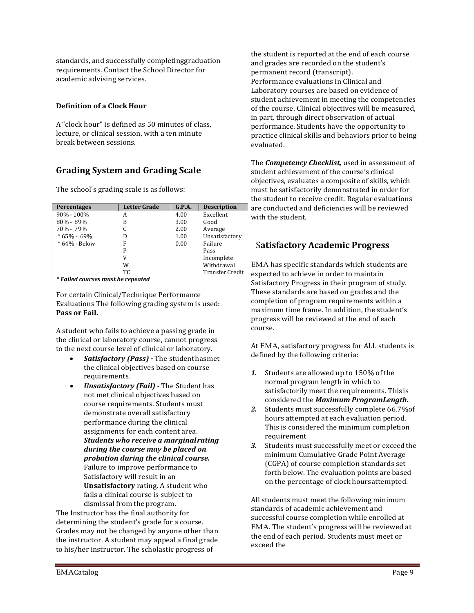standards, and successfully completinggraduation requirements. Contact the School Director for academic advising services.

### **Definition of a Clock Hour**

A "clock hour" is defined as 50 minutes of class, lecture, or clinical session, with a ten minute break between sessions.

# **Grading System and Grading Scale**

The school's grading scale is as follows:

| <b>Percentages</b> | <b>Letter Grade</b> | G.P.A. | <b>Description</b>     |
|--------------------|---------------------|--------|------------------------|
| 90% - 100%         | А                   | 4.00   | Excellent              |
| 80% - 89%          | B                   | 3.00   | Good                   |
| 70% - 79%          |                     | 2.00   | Average                |
| $*65% - 69%$       | D                   | 1.00   | Unsatisfactory         |
| * 64% - Below      | F                   | 0.00   | Failure                |
|                    | P                   |        | Pass                   |
|                    | V                   |        | Incomplete             |
|                    | W                   |        | Withdrawal             |
|                    | TC.                 |        | <b>Transfer Credit</b> |

*\* Failed courses must be repeated*

For certain Clinical/Technique Performance Evaluations The following grading system is used: **Pass or Fail.**

A student who fails to achieve a passing grade in the clinical or laboratory course, cannot progress to the next course level of clinical or laboratory.

- *Satisfactory (Pass) -* The studenthasmet the clinical objectives based on course requirements.
- *Unsatisfactory (Fail) -* The Student has not met clinical objectives based on course requirements. Students must demonstrate overall satisfactory performance during the clinical assignments for each content area. *Students who receive a marginalrating during the course may be placed on probation during the clinical course.*  Failure to improve performance to Satisfactory will result in an **Unsatisfactory** rating. A student who fails a clinical course is subject to dismissal from the program.

The Instructor has the final authority for determining the student's grade for a course. Grades may not be changed by anyone other than the instructor. A student may appeal a final grade to his/her instructor. The scholastic progress of

the student is reported at the end of each course and grades are recorded on the student's permanent record (transcript). Performance evaluations in Clinical and Laboratory courses are based on evidence of student achievement in meeting the competencies of the course. Clinical objectives will be measured, in part, through direct observation of actual performance. Students have the opportunity to practice clinical skills and behaviors prior to being evaluated.

The *Competency Checklist,* used in assessment of student achievement of the course's clinical objectives, evaluates a composite of skills, which must be satisfactorily demonstrated in order for the student to receive credit. Regular evaluations are conducted and deficiencies will be reviewed with the student.

# S**atisfactory Academic Progress**

EMA has specific standards which students are expected to achieve in order to maintain Satisfactory Progress in their program of study. These standards are based on grades and the completion of program requirements within a maximum time frame. In addition, the student's progress will be reviewed at the end of each course.

At EMA, satisfactory progress for ALL students is defined by the following criteria:

- *1.* Students are allowed up to 150% of the normal program length in which to satisfactorily meet the requirements. Thisis considered the *Maximum ProgramLength.*
- *2.* Students must successfully complete 66.7%of hours attempted at each evaluation period. This is considered the minimum completion requirement
- *3.* Students must successfully meet or exceedthe minimum Cumulative Grade Point Average (CGPA) of course completion standards set forth below. The evaluation points are based on the percentage of clockhoursattempted.

All students must meet the following minimum standards of academic achievement and successful course completion while enrolled at EMA. The student's progress will be reviewed at the end of each period. Students must meet or exceed the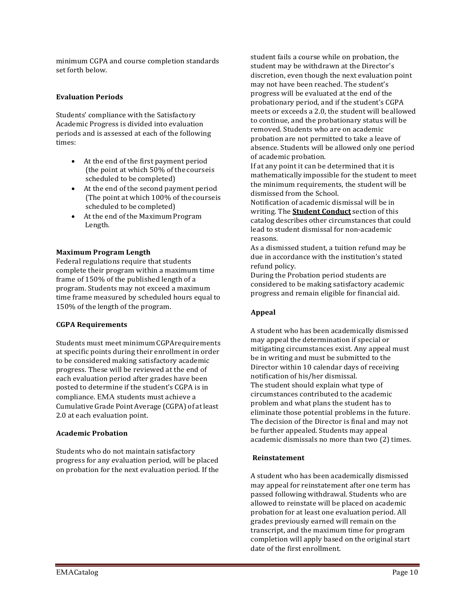minimum CGPA and course completion standards set forth below.

#### **Evaluation Periods**

Students' compliance with the Satisfactory Academic Progress is divided into evaluation periods and is assessed at each of the following times:

- At the end of the first payment period (the point at which 50% of the courseis scheduled to be completed)
- At the end of the second payment period (The point at which 100% of the courseis scheduled to be completed)
- At the end of the Maximum Program Length.

#### **Maximum Program Length**

Federal regulations require that students complete their program within a maximum time frame of 150% of the published length of a program. Students may not exceed a maximum time frame measured by scheduled hours equal to 150% of the length of the program.

#### **CGPA Requirements**

Students must meet minimumCGPArequirements at specific points during their enrollment in order to be considered making satisfactory academic progress. These will be reviewed at the end of each evaluation period after grades have been posted to determine if the student's CGPA is in compliance. EMA students must achieve a Cumulative Grade Point Average (CGPA) of atleast 2.0 at each evaluation point.

#### **Academic Probation**

Students who do not maintain satisfactory progress for any evaluation period, will be placed on probation for the next evaluation period. If the student fails a course while on probation, the student may be withdrawn at the Director's discretion, even though the next evaluation point may not have been reached. The student's progress will be evaluated at the end of the probationary period, and if the student's CGPA meets or exceeds a 2.0, the student will beallowed to continue, and the probationary status will be removed. Students who are on academic probation are not permitted to take a leave of absence. Students will be allowed only one period of academic probation.

If at any point it can be determined that it is mathematically impossible for the student to meet the minimum requirements, the student will be dismissed from the School.

Notification of academic dismissal will be in writing. The **Student Conduct** section of this catalog describes other circumstances that could lead to student dismissal for non-academic reasons.

As a dismissed student, a tuition refund may be due in accordance with the institution's stated refund policy.

During the Probation period students are considered to be making satisfactory academic progress and remain eligible for financial aid.

#### **Appeal**

A student who has been academically dismissed may appeal the determination if special or mitigating circumstances exist. Any appeal must be in writing and must be submitted to the Director within 10 calendar days of receiving notification of his/her dismissal. The student should explain what type of circumstances contributed to the academic problem and what plans the student has to eliminate those potential problems in the future. The decision of the Director is final and may not be further appealed. Students may appeal academic dismissals no more than two (2) times.

#### **Reinstatement**

A student who has been academically dismissed may appeal for reinstatement after one term has passed following withdrawal. Students who are allowed to reinstate will be placed on academic probation for at least one evaluation period. All grades previously earned will remain on the transcript, and the maximum time for program completion will apply based on the original start date of the first enrollment.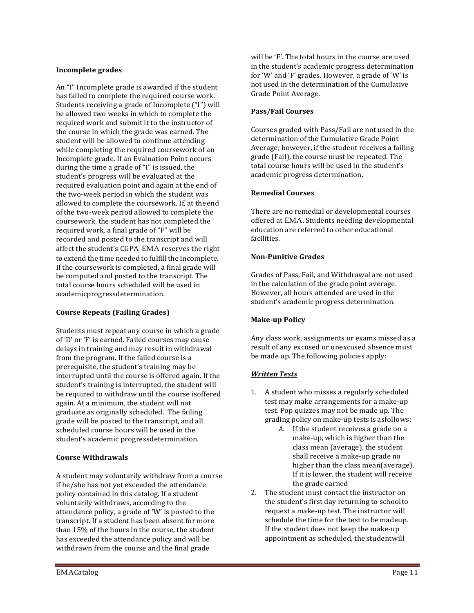### **Incomplete grades**

An "I" Incomplete grade is awarded if the student has failed to complete the required course work. Students receiving a grade of Incomplete ("I") will be allowed two weeks in which to complete the required work and submit it to the instructor of the course in which the grade was earned. The student will be allowed to continue attending while completing the required coursework of an Incomplete grade. If an Evaluation Point occurs during the time a grade of "I" is issued, the student's progress will be evaluated at the required evaluation point and again at the end of the two-week period in which the student was allowed to complete the coursework. If, at theend of the two-week period allowed to complete the coursework, the student has not completed the required work, a final grade of "F" will be recorded and posted to the transcript and will affect the student's CGPA. EMA reserves the right to extend the time needed to fulfill the Incomplete. If the coursework is completed, a final grade will be computed and posted to the transcript. The total course hours scheduled will be used in academicprogressdetermination.

## **Course Repeats (Failing Grades)**

Students must repeat any course in which a grade of 'D' or 'F' is earned. Failed courses may cause delays in training and may result in withdrawal from the program. If the failed course is a prerequisite, the student's training may be interrupted until the course is offered again. If the student's training is interrupted, the student will be required to withdraw until the course isoffered again. At a minimum, the student will not graduate as originally scheduled. The failing grade will be posted to the transcript, and all scheduled course hours will be used in the student's academic progressdetermination.

## **Course Withdrawals**

A student may voluntarily withdraw from a course if he/she has not yet exceeded the attendance policy contained in this catalog. If a student voluntarily withdraws, according to the attendance policy, a grade of 'W' is posted to the transcript. If a student has been absent for more than 15% of the hours in the course, the student has exceeded the attendance policy and will be withdrawn from the course and the final grade

will be 'F'. The total hours in the course are used in the student's academic progress determination for 'W' and 'F' grades. However, a grade of 'W' is not used in the determination of the Cumulative Grade Point Average.

### **Pass/Fail Courses**

Courses graded with Pass/Fail are not used in the determination of the Cumulative Grade Point Average; however, if the student receives a failing grade (Fail), the course must be repeated. The total course hours will be used in the student's academic progress determination.

### **Remedial Courses**

There are no remedial or developmental courses offered at EMA. Students needing developmental education are referred to other educational facilities.

### **Non-Punitive Grades**

Grades of Pass, Fail, and Withdrawal are not used in the calculation of the grade point average. However, all hours attended are used in the student's academic progress determination.

## **Make-up Policy**

Any class work, assignments or exams missed as a result of any excused or unexcused absence must be made up. The following policies apply:

## *Written Tests*

- 1. A student who misses a regularly scheduled test may make arrangements for a make-up test. Pop quizzes may not be made up. The grading policy on make-up tests is asfollows:
	- A. If the student receives a grade on a make-up, which is higher than the class mean (average), the student shall receive a make-up grade no higher than the class mean(average). If it is lower, the student will receive the grade earned
- 2. The student must contact the instructor on the student's first day returning to schoolto request a make-up test. The instructor will schedule the time for the test to bemadeup. If the student does not keep the make-up appointment as scheduled, the studentwill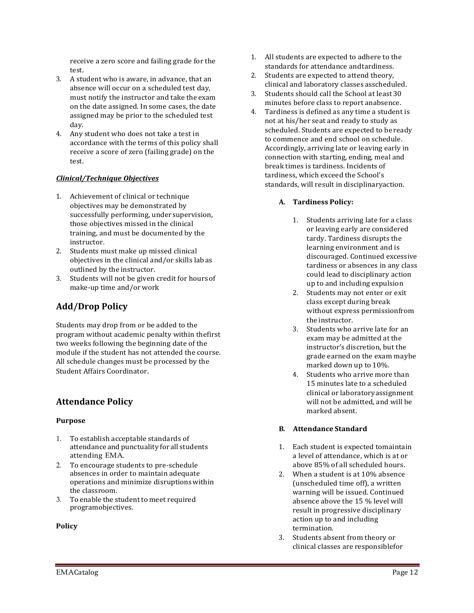receive a zero score and failing grade for the test.

- 3. A student who is aware, in advance, that an absence will occur on a scheduled test day, must notify the instructor and take the exam on the date assigned. In some cases, the date assigned may be prior to the scheduled test day.
- 4. Any student who does not take a test in accordance with the terms of this policy shall receive a score of zero (failing grade) on the test.

### *Clinical/Technique Objectives*

- 1. Achievement of clinical or technique objectives may be demonstrated by successfully performing, under supervision, those objectives missed in the clinical training, and must be documented by the instructor.
- 2. Students must make up missed clinical objectives in the clinical and/or skills labas outlined by the instructor.
- 3. Students will not be given credit for hoursof make-up time and/or work

## **Add/Drop Policy**

Students may drop from or be added to the program without academic penalty within thefirst two weeks following the beginning date of the module if the student has not attended the course. All schedule changes must be processed by the Student Affairs Coordinator.

## **Attendance Policy**

#### **Purpose**

- 1. To establish acceptable standards of attendance and punctuality forall students attending EMA.
- 2. To encourage students to pre-schedule absences in order to maintain adequate operations and minimize disruptionswithin the classroom.
- 3. To enable the student to meet required programobjectives.

#### **Policy**

- 1. All students are expected to adhere to the standards for attendance andtardiness.
- 2. Students are expected to attend theory, clinical and laboratory classes asscheduled.
- 3. Students should call the School at least30 minutes before class to report anabsence.
- 4. Tardiness is defined as any time a student is not at his/her seat and ready to study as scheduled. Students are expected to be ready to commence and end school on schedule. Accordingly, arriving late or leaving early in connection with starting, ending, meal and break times is tardiness. Incidents of tardiness, which exceed the School's standards, will result in disciplinaryaction.

### **A. Tardiness Policy:**

- 1. Students arriving late for a class or leaving early are considered tardy. Tardiness disrupts the learning environment and is discouraged. Continued excessive tardiness or absences in any class could lead to disciplinary action up to and including expulsion
- 2. Students may not enter or exit class except during break without express permissionfrom the instructor.
- 3. Students who arrive late for an exam may be admitted at the instructor's discretion, but the grade earned on the exam maybe marked down up to 10%.
- 4. Students who arrive more than 15 minutes late to a scheduled clinical or laboratoryassignment will not be admitted, and will be marked absent.

#### **B. Attendance Standard**

- 1. Each student is expected tomaintain a level of attendance, which is at or above 85% of all scheduled hours.
- 2. When a student is at 10% absence (unscheduled time off), a written warning will be issued. Continued absence above the 15 % level will result in progressive disciplinary action up to and including termination.
- 3. Students absent from theory or clinical classes are responsiblefor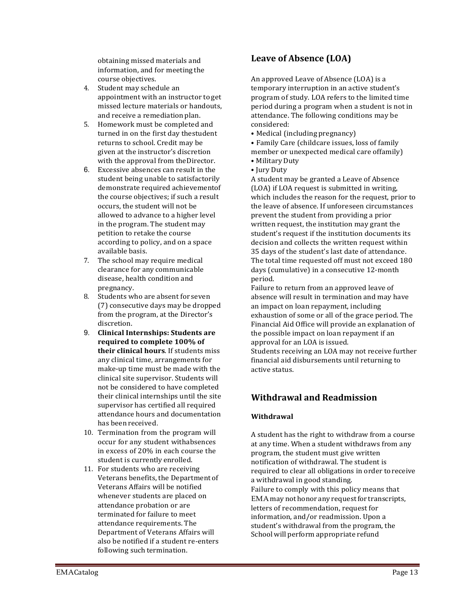obtaining missed materials and information, and for meeting the course objectives.

- 4. Student may schedule an appointment with an instructor to get missed lecture materials or handouts, and receive a remediation plan.
- 5. Homework must be completed and turned in on the first day thestudent returns to school. Credit may be given at the instructor's discretion with the approval from theDirector.
- 6. Excessive absences can result in the student being unable to satisfactorily demonstrate required achievementof the course objectives; if such a result occurs, the student will not be allowed to advance to a higher level in the program. The student may petition to retake the course according to policy, and on a space available basis.
- 7. The school may require medical clearance for any communicable disease, health condition and pregnancy.
- 8. Students who are absent for seven (7) consecutive days may be dropped from the program, at the Director's discretion.
- 9. **Clinical Internships: Students are required to complete 100% of their clinical hours**. If students miss any clinical time, arrangements for make-up time must be made with the clinical site supervisor. Students will not be considered to have completed their clinical internships until the site supervisor has certified all required attendance hours and documentation has been received.
- 10. Termination from the program will occur for any student withabsences in excess of 20% in each course the student is currently enrolled.
- 11. For students who are receiving Veterans benefits, the Department of Veterans Affairs will be notified whenever students are placed on attendance probation or are terminated for failure to meet attendance requirements. The Department of Veterans Affairs will also be notified if a student re-enters following such termination.

# **Leave of Absence (LOA)**

An approved Leave of Absence (LOA) is a temporary interruption in an active student's program of study. LOA refers to the limited time period during a program when a student is not in attendance. The following conditions may be considered:

- Medical (including pregnancy)
- Family Care (childcare issues, loss of family
- member or unexpected medical care offamily)
- Military Duty
- Jury Duty

A student may be granted a Leave of Absence (LOA) if LOA request is submitted in writing, which includes the reason for the request, prior to the leave of absence. If unforeseen circumstances prevent the student from providing a prior written request, the institution may grant the student's request if the institution documents its decision and collects the written request within 35 days of the student's last date of attendance. The total time requested off must not exceed 180 days (cumulative) in a consecutive 12-month period.

Failure to return from an approved leave of absence will result in termination and may have an impact on loan repayment, including exhaustion of some or all of the grace period. The Financial Aid Office will provide an explanation of the possible impact on loan repayment if an approval for an LOA is issued. Students receiving an LOA may not receive further

financial aid disbursements until returning to active status.

# **Withdrawal and Readmission**

## **Withdrawal**

A student has the right to withdraw from a course at any time. When a student withdraws from any program, the student must give written notification of withdrawal. The student is required to clear all obligations in order toreceive a withdrawal in good standing. Failure to comply with this policy means that EMA may not honor any request for transcripts, letters of recommendation, request for information, and/or readmission. Upon a student's withdrawal from the program, the School will perform appropriate refund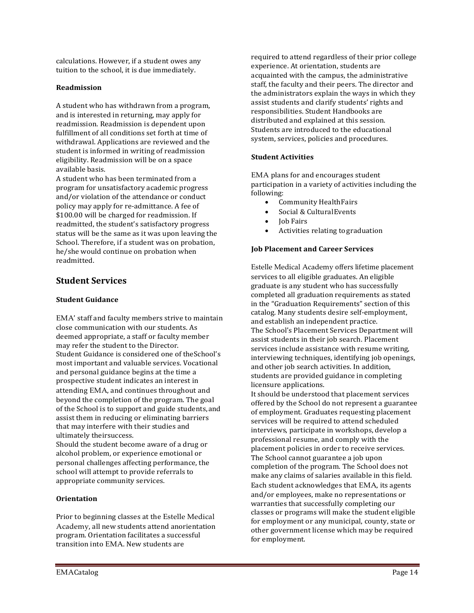calculations. However, if a student owes any tuition to the school, it is due immediately.

#### **Readmission**

A student who has withdrawn from a program, and is interested in returning, may apply for readmission. Readmission is dependent upon fulfillment of all conditions set forth at time of withdrawal. Applications are reviewed and the student is informed in writing of readmission eligibility. Readmission will be on a space available basis.

A student who has been terminated from a program for unsatisfactory academic progress and/or violation of the attendance or conduct policy may apply for re-admittance. A fee of \$100.00 will be charged for readmission. If readmitted, the student's satisfactory progress status will be the same as it was upon leaving the School. Therefore, if a student was on probation, he/she would continue on probation when readmitted.

## **Student Services**

### **Student Guidance**

EMA' staff and faculty members strive to maintain close communication with our students. As deemed appropriate, a staff or faculty member may refer the student to the Director. Student Guidance is considered one of theSchool's most important and valuable services. Vocational and personal guidance begins at the time a prospective student indicates an interest in attending EMA, and continues throughout and beyond the completion of the program. The goal of the School is to support and guide students,and assist them in reducing or eliminating barriers that may interfere with their studies and ultimately theirsuccess.

Should the student become aware of a drug or alcohol problem, or experience emotional or personal challenges affecting performance, the school will attempt to provide referrals to appropriate community services.

## **Orientation**

Prior to beginning classes at the Estelle Medical Academy, all new students attend anorientation program. Orientation facilitates a successful transition into EMA. New students are

required to attend regardless of their prior college experience. At orientation, students are acquainted with the campus, the administrative staff, the faculty and their peers. The director and the administrators explain the ways in which they assist students and clarify students' rights and responsibilities. Student Handbooks are distributed and explained at this session. Students are introduced to the educational system, services, policies and procedures.

### **Student Activities**

EMA plans for and encourages student participation in a variety of activities including the following:

- Community HealthFairs
- Social & CulturalEvents
- Job Fairs
- Activities relating to graduation

### **Job Placement and Career Services**

Estelle Medical Academy offers lifetime placement services to all eligible graduates. An eligible graduate is any student who has successfully completed all graduation requirements as stated in the "Graduation Requirements" section of this catalog. Many students desire self-employment, and establish an independent practice. The School's Placement Services Department will assist students in their job search. Placement services include assistance with resume writing, interviewing techniques, identifying job openings, and other job search activities. In addition, students are provided guidance in completing licensure applications.

It should be understood that placement services offered by the School do not represent a guarantee of employment. Graduates requesting placement services will be required to attend scheduled interviews, participate in workshops, develop a professional resume, and comply with the placement policies in order to receive services. The School cannot guarantee a job upon completion of the program. The School does not make any claims of salaries available in this field. Each student acknowledges that EMA, its agents and/or employees, make no representations or warranties that successfully completing our classes or programs will make the student eligible for employment or any municipal, county, state or other government license which may be required for employment.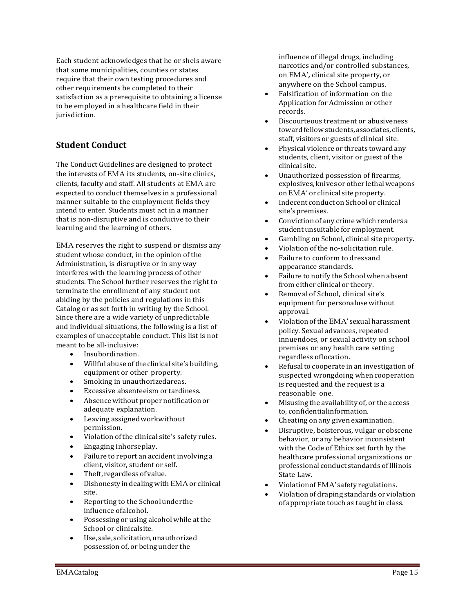Each student acknowledges that he or sheis aware that some municipalities, counties or states require that their own testing procedures and other requirements be completed to their satisfaction as a prerequisite to obtaining a license to be employed in a healthcare field in their jurisdiction.

# **Student Conduct**

The Conduct Guidelines are designed to protect the interests of EMA its students, on-site clinics, clients, faculty and staff. All students at EMA are expected to conduct themselves in a professional manner suitable to the employment fields they intend to enter. Students must act in a manner that is non-disruptive and is conducive to their learning and the learning of others.

EMA reserves the right to suspend or dismiss any student whose conduct, in the opinion of the Administration, is disruptive or in any way interferes with the learning process of other students. The School further reserves the right to terminate the enrollment of any student not abiding by the policies and regulations in this Catalog or as set forth in writing by the School. Since there are a wide variety of unpredictable and individual situations, the following is a list of examples of unacceptable conduct. This list is not meant to be all-inclusive:

- Insubordination.
- Willful abuse of the clinical site's building, equipment or other property.
- Smoking in unauthorizedareas.
- Excessive absenteeism or tardiness.
- Absence without proper notification or adequate explanation.
- Leaving assignedworkwithout permission.
- Violation of the clinical site's safety rules.
- Engaging inhorseplay.
- Failure to report an accident involving a client, visitor, student or self.
- Theft, regardless of value.
- Dishonesty indealingwith EMA or clinical site.
- Reporting to the Schoolunderthe influence ofalcohol.
- Possessing or using alcohol while at the School or clinicalsite.
- Use,sale, solicitation,unauthorized possession of, or being under the

influence of illegal drugs, including narcotics and/or controlled substances, on EMA'*,* clinical site property, or anywhere on the School campus.

- Falsification of information on the Application for Admission or other records.
- Discourteous treatment or abusiveness toward fellowstudents, associates, clients, staff, visitors or guests of clinical site.
- Physical violence or threats toward any students, client, visitor or guest of the clinical site.
- Unauthorized possession of firearms, explosives, knives or other lethalweapons onEMA' or clinical site property.
- Indecent conduct on School or clinical site'spremises.
- Convictionof any crime which renders a studentunsuitable for employment.
- Gambling on School, clinical site property.
- Violation of the no-solicitation rule.
- Failure to conform to dressand appearance standards.
- Failure to notify the School when absent from either clinical or theory.
- Removal of School, clinical site's equipment for personaluse without approval.
- Violationofthe EMA' sexual harassment policy. Sexual advances, repeated innuendoes, or sexual activity on school premises or any health care setting regardless oflocation.
- Refusal to cooperate in an investigation of suspected wrongdoing when cooperation is requested and the request is a reasonable one.
- Misusing the availability of, or the access to, confidentialinformation.
- Cheating on any given examination.
- Disruptive, boisterous, vulgar orobscene behavior, or any behavior inconsistent with the Code of Ethics set forth by the healthcare professional organizations or professional conduct standards ofIllinois State Law.
- ViolationofEMA' safety regulations.
- Violation of draping standards or violation of appropriate touch as taught in class.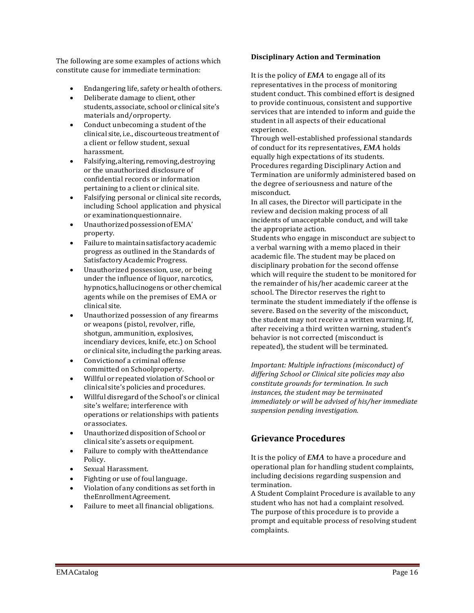The following are some examples of actions which constitute cause for immediate termination:

- Endangering life, safety or health of others.
- Deliberate damage to client, other students, associate, school or clinical site's materials and/orproperty.
- Conduct unbecoming a student of the clinical site,i.e., discourteous treatment of a client or fellow student, sexual harassment.
- Falsifying,altering, removing,destroying or the unauthorized disclosure of confidential records or information pertaining to a client or clinical site.
- Falsifying personal or clinical site records, including School application and physical or examinationquestionnaire.
- UnauthorizedpossessionofEMA' property.
- Failuretomaintainsatisfactory academic progress as outlined in the Standards of SatisfactoryAcademicProgress.
- Unauthorized possession, use, or being under the influence of liquor, narcotics, hypnotics,hallucinogens or other chemical agents while on the premises of EMA or clinical site.
- Unauthorized possession of any firearms or weapons (pistol, revolver, rifle, shotgun, ammunition, explosives, incendiary devices, knife, etc.) on School or clinical site, including the parking areas.
- Convictionof a criminal offense committed on Schoolproperty.
- Willful or repeated violation of School or clinical site's policies and procedures.
- Willful disregard ofthe School's or clinical site's welfare; interference with operations or relationships with patients orassociates.
- Unauthorized disposition of Schoolor clinical site's assets or equipment.
- Failure to comply with theAttendance Policy.
- Sexual Harassment.
- Fighting or use of foul language.
- Violation of any conditions as set forth in theEnrollmentAgreement.
- Failure to meet all financial obligations.

#### **Disciplinary Action and Termination**

It is the policy of *EMA* to engage all of its representatives in the process of monitoring student conduct. This combined effort is designed to provide continuous, consistent and supportive services that are intended to inform and guide the student in all aspects of their educational experience.

Through well-established professional standards of conduct for its representatives, *EMA* holds equally high expectations of its students. Procedures regarding Disciplinary Action and Termination are uniformly administered based on the degree of seriousness and nature of the misconduct.

In all cases, the Director will participate in the review and decision making process of all incidents of unacceptable conduct, and will take the appropriate action.

Students who engage in misconduct are subject to a verbal warning with a memo placed in their academic file. The student may be placed on disciplinary probation for the second offense which will require the student to be monitored for the remainder of his/her academic career at the school. The Director reserves the right to terminate the student immediately if the offense is severe. Based on the severity of the misconduct, the student may not receive a written warning. If, after receiving a third written warning, student's behavior is not corrected (misconduct is repeated), the student will be terminated.

*Important: Multiple infractions (misconduct) of differing School or Clinical site policies may also constitute grounds for termination. In such instances, the student may be terminated immediately or will be advised of his/her immediate suspension pending investigation.*

## **Grievance Procedures**

It is the policy of *EMA* to have a procedure and operational plan for handling student complaints, including decisions regarding suspension and termination.

A Student Complaint Procedure is available to any student who has not had a complaint resolved. The purpose of this procedure is to provide a prompt and equitable process of resolving student complaints.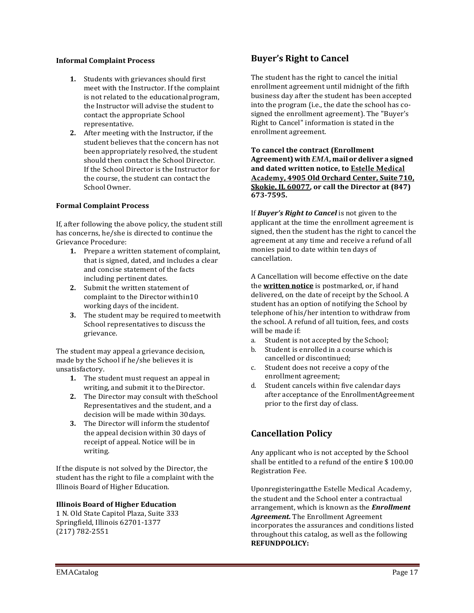#### **Informal Complaint Process**

- **1.** Students with grievances should first meet with the Instructor. If the complaint is not related to the educationalprogram, the Instructor will advise the student to contact the appropriate School representative.
- **2.** After meeting with the Instructor, if the student believes that the concern has not been appropriately resolved, the student should then contact the School Director. If the School Director is the Instructor for the course, the student can contact the School Owner.

#### **Formal Complaint Process**

If, after following the above policy, the student still has concerns, he/she is directed to continue the Grievance Procedure:

- **1.** Prepare a written statement of complaint, that is signed, dated, and includes a clear and concise statement of the facts including pertinent dates.
- **2.** Submit the written statement of complaint to the Director within10 working days of the incident.
- **3.** The student may be required tomeetwith School representatives to discuss the grievance.

The student may appeal a grievance decision, made by the School if he/she believes it is unsatisfactory.

- **1.** The student must request an appeal in writing, and submit it to the Director.
- **2.** The Director may consult with theSchool Representatives and the student, and a decision will be made within 30days.
- **3.** The Director will inform the studentof the appeal decision within 30 days of receipt of appeal. Notice will be in writing.

If the dispute is not solved by the Director, the student has the right to file a complaint with the Illinois Board of Higher Education.

#### **Illinois Board of Higher Education**

1 N. Old State Capitol Plaza, Suite 333 Springfield, Illinois 62701-1377 (217) 782-2551

## **Buyer's Right to Cancel**

The student has the right to cancel the initial enrollment agreement until midnight of the fifth business day after the student has been accepted into the program (i.e., the date the school has cosigned the enrollment agreement). The "Buyer's Right to Cancel" information is stated in the enrollment agreement.

**To cancel the contract (Enrollment Agreement)with** *EMA***, mailor deliver a signed and dated written notice, to Estelle Medical Academy, 4905 Old Orchard Center, Suite 710, Skokie, IL 60077, or call the Director at (847) 673-7595.**

If *Buyer's Right to Cancel* is not given to the applicant at the time the enrollment agreement is signed, then the student has the right to cancel the agreement at any time and receive a refund of all monies paid to date within ten days of cancellation.

A Cancellation will become effective on the date the **written notice** is postmarked, or, if hand delivered, on the date of receipt by the School. A student has an option of notifying the School by telephone of his/her intention to withdraw from the school. A refund of all tuition, fees, and costs will be made if:<br>a. Student is r

- a. Student is not accepted by the School;<br>b. Student is enrolled in a course which is
- Student is enrolled in a course which is cancelled or discontinued;
- c. Student does not receive a copy of the enrollment agreement;
- d. Student cancels within five calendar days after acceptance of the EnrollmentAgreement prior to the first day of class.

## **Cancellation Policy**

Any applicant who is not accepted by the School shall be entitled to a refund of the entire \$ 100.00 Registration Fee.

Uponregisteringatthe Estelle Medical Academy, the student and the School enter a contractual arrangement, which is known as the *Enrollment Agreement.* The Enrollment Agreement incorporates the assurances and conditions listed throughout this catalog, as well as the following **REFUNDPOLICY:**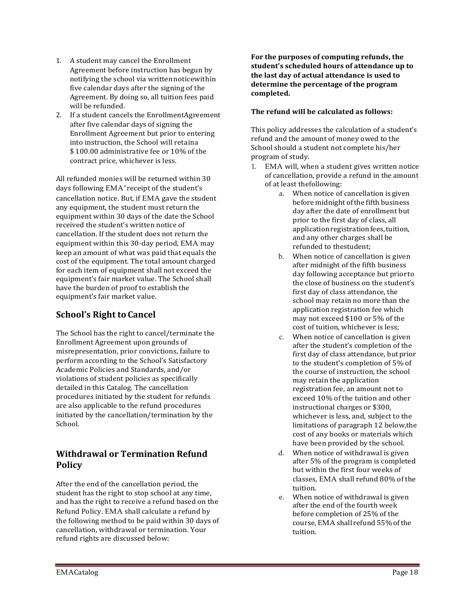- 1. A student may cancel the Enrollment Agreement before instruction has begun by notifying the school via writtennoticewithin five calendar days after the signing of the Agreement. By doing so, all tuition fees paid will be refunded.
- 2. If a student cancels the EnrollmentAgreement after five calendar days of signing the Enrollment Agreement but prior to entering into instruction, the School will retaina \$ 100.00 administrative fee or 10% of the contract price, whichever is less.

All refunded monies will be returned within 30 days following EMA*'* receipt of the student's cancellation notice. But, if EMA gave the student any equipment, the student must return the equipment within 30 days of the date the School received the student's written notice of cancellation. If the student does not return the equipment within this 30-day period, EMA may keep an amount of what was paid that equals the cost of the equipment. The total amount charged for each item of equipment shall not exceed the equipment's fair market value. The School shall have the burden of proof to establish the equipment's fair market value.

# **School's Right to Cancel**

The School has the right to cancel/terminate the Enrollment Agreement upon grounds of misrepresentation, prior convictions, failure to perform according to the School's Satisfactory Academic Policies and Standards, and/or violations of student policies as specifically detailed in this Catalog. The cancellation procedures initiated by the student for refunds are also applicable to the refund procedures initiated by the cancellation/termination by the School.

# **Withdrawal or Termination Refund Policy**

After the end of the cancellation period, the student has the right to stop school at any time, and has the right to receive a refund based on the Refund Policy. EMA shall calculate a refund by the following method to be paid within 30 days of cancellation, withdrawal or termination. Your refund rights are discussed below:

**For the purposes of computing refunds, the student's scheduled hours of attendance up to the last day of actual attendance is used to determine the percentage of the program completed.**

## **The refund will be calculated as follows:**

This policy addresses the calculation of a student's refund and the amount of money owed to the School should a student not complete his/her program of study.

- 1. EMA will, when a student gives written notice of cancellation, provide a refund in the amount of at least thefollowing:
	- a. When notice of cancellation is given before midnight of the fifth business day after the date of enrollment but prior to the first day of class, all application registration fees, tuition, and any other charges shall be refunded to thestudent;
	- b. When notice of cancellation is given after midnight of the fifth business day following acceptance but prior to the close of business on the student's first day of class attendance, the school may retain no more than the application registration fee which may not exceed \$100 or 5% of the cost of tuition, whichever is less;
	- c. When notice of cancellation is given after the student's completion of the first day of class attendance, but prior to the student's completion of 5% of the course of instruction, the school may retain the application registration fee, an amount not to exceed 10% of the tuition and other instructional charges or \$300, whichever is less, and, subject to the limitations of paragraph 12 below,the cost of any books or materials which have been provided by the school.
	- d. When notice of withdrawal is given after 5% of the program is completed but within the first four weeks of classes, EMA shall refund 80% of the tuition.
	- e. When notice of withdrawal is given after the end of the fourth week before completion of 25% of the course, EMA shall refund 55% ofthe tuition.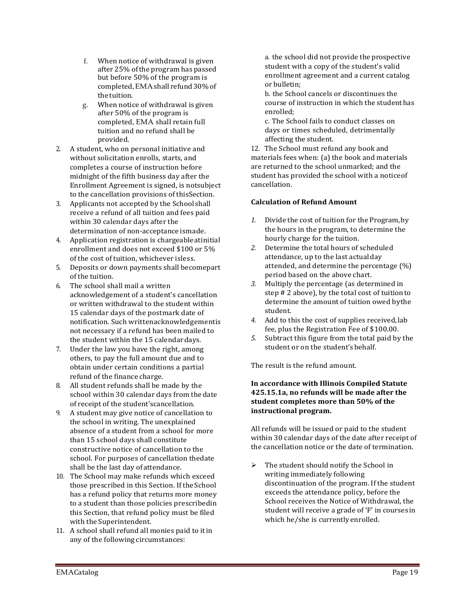- f. When notice of withdrawal is given after 25% ofthe program has passed but before 50% of the program is completed,EMAshall refund30%of the tuition.
- g. When notice of withdrawal is given after 50% of the program is completed, EMA shall retain full tuition and no refund shall be provided.
- 2. A student, who on personal initiative and without solicitation enrolls, starts, and completes a course of instruction before midnight of the fifth business day after the Enrollment Agreement is signed, is notsubject to the cancellation provisions of thisSection.
- 3. Applicants not accepted by the School shall receive a refund of all tuition and fees paid within 30 calendar days after the determination of non-acceptance ismade.
- 4. Application registration is chargeableatinitial enrollment and does not exceed \$100 or 5% of the cost of tuition, whichever isless.
- 5. Deposits or down payments shall becomepart of the tuition.
- 6. The school shall mail a written acknowledgement of a student's cancellation or written withdrawal to the student within 15 calendar days of the postmark date of notification. Such writtenacknowledgementis not necessary if a refund has been mailed to the student within the 15 calendardays.
- 7. Under the law you have the right, among others, to pay the full amount due and to obtain under certain conditions a partial refund of the finance charge.
- 8. All student refunds shall be made by the school within 30 calendar days from thedate of receipt of the student'scancellation.
- 9. A student may give notice of cancellation to the school in writing. The unexplained absence of a student from a school for more than 15 school days shall constitute constructive notice of cancellation to the school. For purposes of cancellation thedate shall be the last day ofattendance.
- 10. The School may make refunds which exceed those prescribed in this Section. If the School has a refund policy that returns more money to a student than those policies prescribedin this Section, that refund policy must be filed with the Superintendent.
- 11. A school shall refund all monies paid to itin any of the following circumstances:

a. the school did not provide theprospective student with a copy of the student's valid enrollment agreement and a current catalog or bulletin;

- b. the School cancels or discontinues the course of instruction in which the studenthas enrolled;
- c. The School fails to conduct classes on days or times scheduled, detrimentally affecting the student.

12. The School must refund any book and materials fees when: (a) the book and materials are returned to the school unmarked; and the student has provided the school with a noticeof cancellation.

## **Calculation of Refund Amount**

- *1.* Divide the cost of tuition for the Program,by the hours in the program, to determine the hourly charge for the tuition.
- *2.* Determine the total hours of scheduled attendance, up to the last actualday attended, and determine the percentage (%) period based on the above chart.
- *3.* Multiply the percentage (as determined in step # 2 above), by the total cost of tuitionto determine the amount of tuition owed bythe student.
- *4.* Add to this the cost of supplies received,lab fee, plus the Registration Fee of \$100.00.
- *5.* Subtract this figure from the total paid by the student or on the student'sbehalf.

The result is the refund amount.

### **In accordance with Illinois Compiled Statute 425.15.1a, no refunds will be made after the student completes more than 50% of the instructional program.**

All refunds will be issued or paid to the student within 30 calendar days of the date after receipt of the cancellation notice or the date of termination.

 $\triangleright$  The student should notify the School in writing immediately following discontinuation of the program. If the student exceeds the attendance policy, before the School receives the Notice of Withdrawal, the student will receive a grade of 'F' in coursesin which he/she is currently enrolled.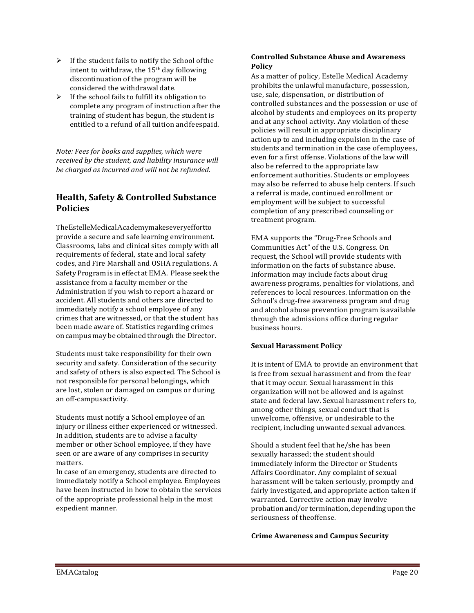- $\triangleright$  If the student fails to notify the School of the intent to withdraw, the 15th day following discontinuation of the program will be considered the withdrawal date.
- $\triangleright$  If the school fails to fulfill its obligation to complete any program of instruction after the training of student has begun, the student is entitled to a refund of all tuition andfeespaid.

*Note: Fees for books and supplies, which were received by the student, and liability insurance will be charged as incurred and will not be refunded.*

## **Health, Safety & Controlled Substance Policies**

TheEstelleMedicalAcademymakeseveryeffortto provide a secure and safe learning environment. Classrooms, labs and clinical sites comply with all requirements of federal, state and local safety codes, and Fire Marshall and OSHA regulations. A Safety Program is in effect at EMA. Please seek the assistance from a faculty member or the Administration if you wish to report a hazard or accident. All students and others are directed to immediately notify a school employee of any crimes that are witnessed, or that the student has been made aware of. Statistics regarding crimes on campus may be obtained through the Director.

Students must take responsibility for their own security and safety. Consideration of the security and safety of others is also expected. The School is not responsible for personal belongings, which are lost, stolen or damaged on campus or during an off-campusactivity.

Students must notify a School employee of an injury or illness either experienced or witnessed. In addition, students are to advise a faculty member or other School employee, if they have seen or are aware of any comprises in security matters.

In case of an emergency, students are directed to immediately notify a School employee. Employees have been instructed in how to obtain the services of the appropriate professional help in the most expedient manner.

#### **Controlled Substance Abuse and Awareness Policy**

As a matter of policy, Estelle Medical Academy prohibits the unlawful manufacture, possession, use, sale, dispensation, or distribution of controlled substances and the possession or use of alcohol by students and employees on its property and at any school activity. Any violation of these policies will result in appropriate disciplinary action up to and including expulsion in the case of students and termination in the case of employees, even for a first offense. Violations of the law will also be referred to the appropriate law enforcement authorities. Students or employees may also be referred to abuse help centers. If such a referral is made, continued enrollment or employment will be subject to successful completion of any prescribed counseling or treatment program.

EMA supports the "Drug-Free Schools and Communities Act" of the U.S. Congress. On request, the School will provide students with information on the facts of substance abuse. Information may include facts about drug awareness programs, penalties for violations, and references to local resources. Information on the School's drug-free awareness program and drug and alcohol abuse prevention program isavailable through the admissions office during regular business hours.

## **Sexual Harassment Policy**

It is intent of EMA to provide an environment that is free from sexual harassment and from the fear that it may occur. Sexual harassment in this organization will not be allowed and is against state and federal law. Sexual harassment refers to, among other things, sexual conduct that is unwelcome, offensive, or undesirable to the recipient, including unwanted sexual advances.

Should a student feel that he/she has been sexually harassed; the student should immediately inform the Director or Students Affairs Coordinator. Any complaint of sexual harassment will be taken seriously, promptly and fairly investigated, and appropriate action taken if warranted. Corrective action may involve probationand/or termination,depending uponthe seriousness of theoffense.

#### **Crime Awareness and Campus Security**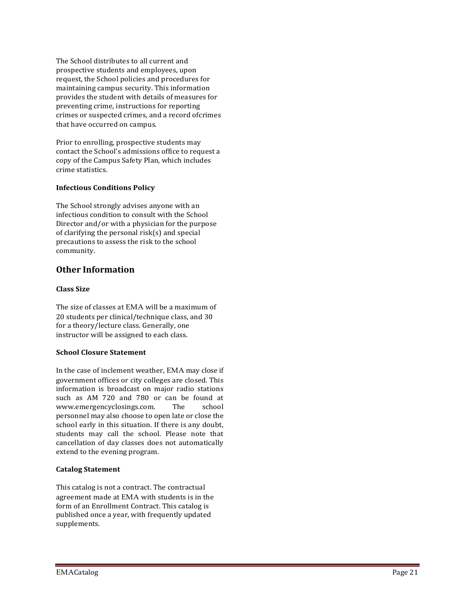The School distributes to all current and prospective students and employees, upon request, the School policies and procedures for maintaining campus security. This information provides the student with details of measures for preventing crime, instructions for reporting crimes or suspected crimes, and a record ofcrimes that have occurred on campus.

Prior to enrolling, prospective students may contact the School's admissions office to request a copy of the Campus Safety Plan, which includes crime statistics.

## **Infectious Conditions Policy**

The School strongly advises anyone with an infectious condition to consult with the School Director and/or with a physician for the purpose of clarifying the personal risk(s) and special precautions to assess the risk to the school community.

## **Other Information**

### **Class Size**

The size of classes at EMA will be a maximum of 20 students per clinical/technique class, and 30 for a theory/lecture class. Generally, one instructor will be assigned to each class.

#### **School Closure Statement**

In the case of inclement weather, EMA may close if government offices or city colleges are closed. This information is broadcast on major radio stations such as AM 720 and 780 or can be found at<br>www.emergencyclosings.com. The school [www.emergencyclosings.com.](http://www.emergencyclosings.com/) personnel may also choose to open late or close the school early in this situation. If there is any doubt, students may call the school. Please note that cancellation of day classes does not automatically extend to the evening program.

#### **Catalog Statement**

This catalog is not a contract. The contractual agreement made at EMA with students is in the form of an Enrollment Contract. This catalog is published once a year, with frequently updated supplements.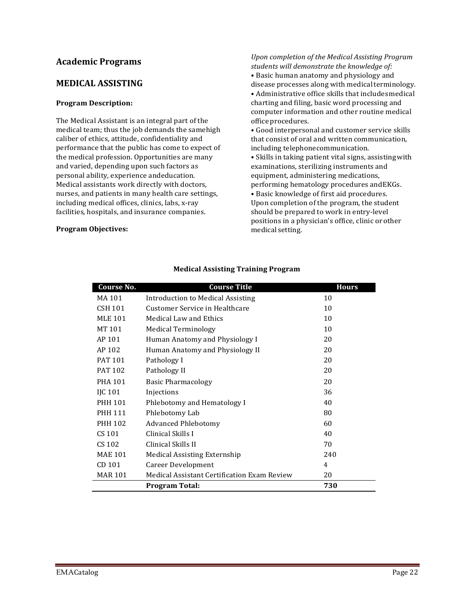## **Academic Programs**

## **MEDICAL ASSISTING**

#### **Program Description:**

The Medical Assistant is an integral part of the medical team; thus the job demands the samehigh caliber of ethics, attitude, confidentiality and performance that the public has come to expect of the medical profession. Opportunities are many and varied, depending upon such factors as personal ability, experience andeducation. Medical assistants work directly with doctors, nurses, and patients in many health care settings, including medical offices, clinics, labs, x-ray facilities, hospitals, and insurance companies.

#### **Program Objectives:**

#### *Upon completion of the Medical Assisting Program students will demonstrate the knowledge of:* • Basic human anatomy and physiology and

disease processes along with medical terminology.

• Administrative office skills that includesmedical charting and filing, basic word processing and computer information and other routine medical office procedures.

• Good interpersonal and customer service skills that consist of oral and written communication, including telephonecommunication.

• Skills in taking patient vital signs, assistingwith examinations, sterilizing instruments and equipment, administering medications, performing hematology procedures andEKGs. • Basic knowledge of first aid procedures. Upon completion of the program, the student should be prepared to work in entry-level positions in a physician's office, clinic orother medical setting.

| Course No.     | <b>Course Title</b>                         | <b>Hours</b> |
|----------------|---------------------------------------------|--------------|
| MA 101         | <b>Introduction to Medical Assisting</b>    | 10           |
| CSH 101        | Customer Service in Healthcare              | 10           |
| <b>MLE 101</b> | <b>Medical Law and Ethics</b>               | 10           |
| MT 101         | <b>Medical Terminology</b>                  | 10           |
| AP 101         | Human Anatomy and Physiology I              | 20           |
| AP 102         | Human Anatomy and Physiology II             | 20           |
| PAT 101        | Pathology I                                 | 20           |
| PAT 102        | Pathology II                                | 20           |
| <b>PHA 101</b> | <b>Basic Pharmacology</b>                   | 20           |
| IJC 101        | Injections                                  | 36           |
| PHH 101        | Phlebotomy and Hematology I                 | 40           |
| PHH 111        | Phlebotomy Lab                              | 80           |
| PHH 102        | <b>Advanced Phlebotomy</b>                  | 60           |
| CS 101         | Clinical Skills I                           | 40           |
| CS 102         | Clinical Skills II                          | 70           |
| <b>MAE 101</b> | <b>Medical Assisting Externship</b>         | 240          |
| CD 101         | Career Development                          | 4            |
| <b>MAR 101</b> | Medical Assistant Certification Exam Review | 20           |
|                | <b>Program Total:</b>                       | 730          |

## **Medical Assisting Training Program**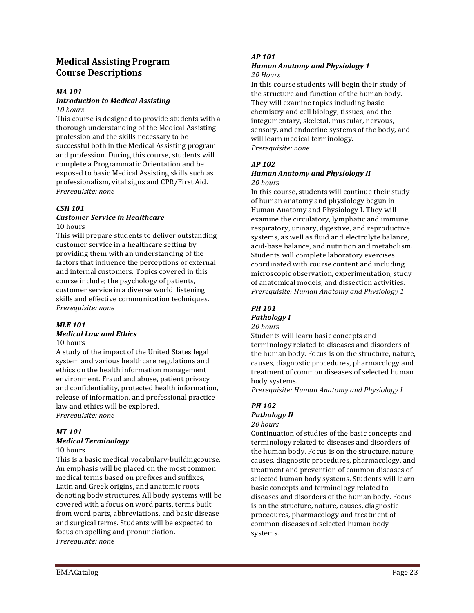## **Medical Assisting Program Course Descriptions**

#### *MA 101*

#### *Introduction to Medical Assisting 10 hours*

This course is designed to provide students with a thorough understanding of the Medical Assisting profession and the skills necessary to be successful both in the Medical Assisting program and profession. During this course, students will complete a Programmatic Orientation and be exposed to basic Medical Assisting skills such as professionalism, vital signs and CPR/First Aid. *Prerequisite: none*

#### *CSH 101*

#### *Customer Service in Healthcare* 10 hours

This will prepare students to deliver outstanding customer service in a healthcare setting by providing them with an understanding of the factors that influence the perceptions of external and internal customers. Topics covered in this course include; the psychology of patients, customer service in a diverse world, listening skills and effective communication techniques. *Prerequisite: none*

#### *MLE 101*

## *Medical Law and Ethics*

10 hours

A study of the impact of the United States legal system and various healthcare regulations and ethics on the health information management environment. Fraud and abuse, patient privacy and confidentiality, protected health information, release of information, and professional practice law and ethics will be explored. *Prerequisite: none*

# *MT 101*

# *Medical Terminology*

#### 10 hours

This is a basic medical vocabulary-buildingcourse. An emphasis will be placed on the most common medical terms based on prefixes and suffixes, Latin and Greek origins, and anatomic roots denoting body structures. All body systems will be covered with a focus on word parts, terms built from word parts, abbreviations, and basic disease and surgical terms. Students will be expected to focus on spelling and pronunciation. *Prerequisite: none*

### *AP 101*

#### *Human Anatomy and Physiology 1 20 Hours*

In this course students will begin their study of the structure and function of the human body. They will examine topics including basic chemistry and cell biology, tissues, and the integumentary, skeletal, muscular, nervous, sensory, and endocrine systems of the body, and will learn medical terminology. *Prerequisite: none*

## *AP 102*

#### *Human Anatomy and Physiology II 20 hours*

In this course, students will continue their study of human anatomy and physiology begun in Human Anatomy and Physiology I. They will examine the circulatory, lymphatic and immune, respiratory, urinary, digestive, and reproductive systems, as well as fluid and electrolyte balance, acid-base balance, and nutrition and metabolism. Students will complete laboratory exercises coordinated with course content and including microscopic observation, experimentation, study of anatomical models, and dissection activities. *Prerequisite: Human Anatomy and Physiology 1*

# *PH 101*

#### *Pathology I 20 hours*

Students will learn basic concepts and terminology related to diseases and disorders of the human body. Focus is on the structure, nature, causes, diagnostic procedures, pharmacology and treatment of common diseases of selected human body systems.

*Prerequisite: Human Anatomy and Physiology I*

## *PH 102 Pathology II*

# *20 hours*

Continuation of studies of the basic concepts and terminology related to diseases and disorders of the human body. Focus is on the structure, nature, causes, diagnostic procedures, pharmacology, and treatment and prevention of common diseases of selected human body systems. Students will learn basic concepts and terminology related to diseases and disorders of the human body. Focus is on the structure, nature, causes, diagnostic procedures, pharmacology and treatment of common diseases of selected human body systems.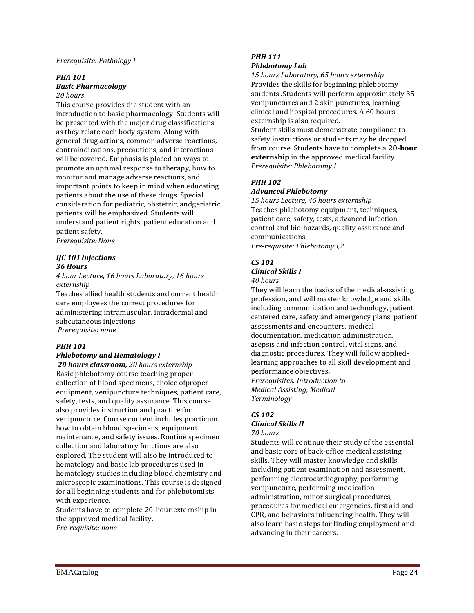#### *Prerequisite: Pathology I*

#### *PHA 101 Basic Pharmacology*

## *20 hours*

This course provides the student with an introduction to basic pharmacology. Students will be presented with the major drug classifications as they relate each body system. Along with general drug actions, common adverse reactions, contraindications, precautions, and interactions will be covered. Emphasis is placed on ways to promote an optimal response to therapy, how to monitor and manage adverse reactions, and important points to keep in mind when educating patients about the use of these drugs. Special consideration for pediatric, obstetric, andgeriatric patients will be emphasized. Students will understand patient rights, patient education and patient safety.

*Prerequisite:None*

#### *IJC 101 Injections 36 Hours*

*4 hour Lecture, 16 hours Laboratory, 16 hours externship*

Teaches allied health students and current health care employees the correct procedures for administering intramuscular, intradermal and subcutaneous injections. *Prerequisite: none*

## *PHH 101 Phlebotomy and Hematology I*

*20 hours classroom, 20 hours externship*  Basic phlebotomy course teaching proper collection of blood specimens, choice ofproper equipment, venipuncture techniques, patient care, safety, tests, and quality assurance. This course also provides instruction and practice for venipuncture. Course content includes practicum how to obtain blood specimens, equipment maintenance, and safety issues. Routine specimen collection and laboratory functions are also explored. The student will also be introduced to hematology and basic lab procedures used in hematology studies including blood chemistry and microscopic examinations. This course is designed for all beginning students and for phlebotomists with experience.

Students have to complete 20-hour externship in the approved medical facility. *Pre-requisite: none*

#### *PHH 111 Phlebotomy Lab*

*15 hours Laboratory, 65 hours externship* Provides the skills for beginning phlebotomy students .Students will perform approximately 35 venipunctures and 2 skin punctures, learning clinical and hospital procedures. A 60 hours externship is also required.

Student skills must demonstrate compliance to safety instructions or students may be dropped from course. Students have to complete a **20-hour externship** in the approved medical facility. *Prerequisite: Phlebotomy I*

## *PHH 102*

#### *Advanced Phlebotomy*

*15 hours Lecture, 45 hours externship*  Teaches phlebotomy equipment, techniques, patient care, safety, tests, advanced infection control and bio-hazards, quality assurance and communications. *Pre-requisite: Phlebotomy I,2*

## *CS 101*

## *Clinical Skills I*

*40 hours*

They will learn the basics of the medical-assisting profession, and will master knowledge and skills including communication and technology, patient centered care, safety and emergency plans, patient assessments and encounters, medical documentation, medication administration, asepsis and infection control, vital signs, and diagnostic procedures. They will follow appliedlearning approaches to all skill development and performance objectives*. Prerequisites: Introduction to* 

*Medical Assisting; Medical Terminology*

# *CS 102 Clinical Skills II*

*70 hours*

Students will continue their study of the essential and basic core of back-office medical assisting skills. They will master knowledge and skills including patient examination and assessment, performing electrocardiography, performing venipuncture, performing medication administration, minor surgical procedures, procedures for medical emergencies, first aid and CPR, and behaviors influencing health. They will also learn basic steps for finding employment and advancing in their careers.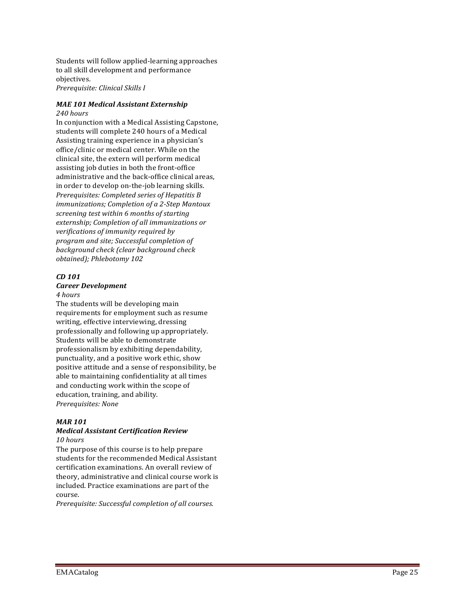Students will follow applied -learning approaches to all skill development and performance objectives.

*Prerequisite: Clinical Skills I*

#### *MAE 101 Medical Assistant Externship 240 hours*

In conjunction with a Medical Assisting Capstone, students will complete 240 hours of a Medical Assisting training experience in a physician's office/clinic or medical center. While on the clinical site, the extern will perform medical assisting job duties in both the front -office administrative and the back -office clinical areas, in order to develop on -the -job learning skills. *Prerequisites: Completed series of Hepatitis B immunizations; Completion of a 2 -Step Mantoux screening test within 6 months of starting externship; Completion of all immunizations or verifications of immunity required by program and site; Successful completion of background check (clear background check obtained); Phlebotomy 102*

#### *CD 101*

### *Career Development*

#### *4 hours*

The students will be developing main requirements for employment such as resume writing, effective interviewing, dressing professionally and following up appropriately. Students will be able to demonstrate professionalism by exhibiting dependability, punctuality, and a positive work ethic, show positive attitude and a sense of responsibility, be able to maintaining confidentiality at all times and conducting work within the scope of education, training, and ability. *Prerequisites: None*

#### *MAR 101*

#### *Medical Assistant Certification Review 10 hours*

The purpose of this course is to help prepare students for the recommended Medical Assistant certification examinations. An overall review of theory, administrative and clinical course work is included. Practice examinations are part of the course.

*Prerequisite: Successful completion of all courses.*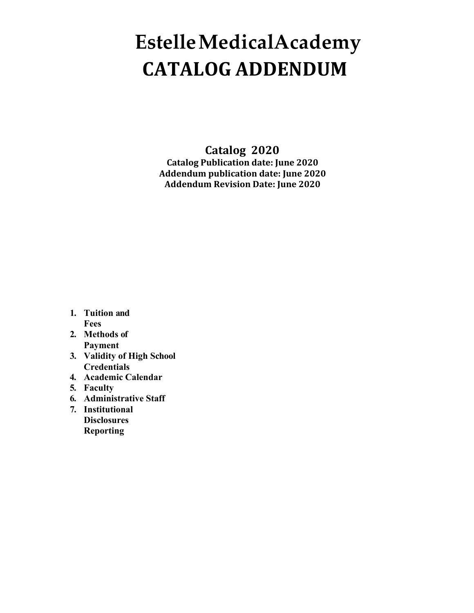# **EstelleMedicalAcademy CATALOG ADDENDUM**

**Catalog 2020 Catalog Publication date: June 2020 Addendum publication date: June 2020 Addendum Revision Date: June 2020**

- **1. Tuition and Fees**
- **2. Methods of Payment**
- **3. Validity of High School Credentials**
- **4. Academic Calendar**
- **5. Faculty**
- **6. Administrative Staff**
- **7. Institutional Disclosures Reporting**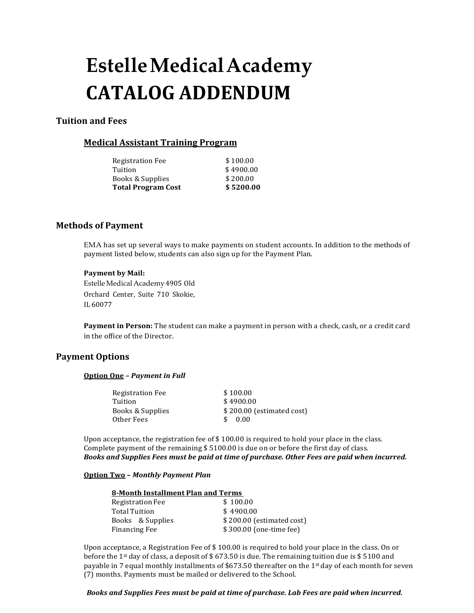# **EstelleMedicalAcademy CATALOG ADDENDUM**

## **Tuition and Fees**

## **Medical Assistant Training Program**

| <b>Total Program Cost</b> | \$5200.00 |
|---------------------------|-----------|
| Books & Supplies          | \$200.00  |
| Tuition                   | \$4900.00 |
| <b>Registration Fee</b>   | \$100.00  |

## **Methods of Payment**

EMA has set up several ways to make payments on student accounts. In addition to the methods of payment listed below, students can also sign up for the Payment Plan.

#### **Payment by Mail:**

Estelle Medical Academy 4905 Old Orchard Center, Suite 710 Skokie, IL 60077

**Payment in Person:** The student can make a payment in person with a check, cash, or a credit card in the office of the Director.

## **Payment Options**

#### **Option One –** *Payment in Full*

| \$100.00                  |
|---------------------------|
| \$4900.00                 |
| \$200.00 (estimated cost) |
| 0.00                      |
|                           |

Upon acceptance, the registration fee of  $$100.00$  is required to hold your place in the class. Complete payment of the remaining \$ 5100.00 is due on or before the first day of class. *Books and Supplies Fees must be paid at time of purchase. Other Fees are paid when incurred.*

#### **Option Two –** *Monthly Payment Plan*

| 8-Month Installment Plan and Terms |                           |
|------------------------------------|---------------------------|
| Registration Fee                   | \$100.00                  |
| Total Tuition                      | \$4900.00                 |
| Books & Supplies                   | \$200.00 (estimated cost) |
| <b>Financing Fee</b>               | \$300.00 (one-time fee)   |

Upon acceptance, a Registration Fee of \$ 100.00 is required to hold your place in the class. On or before the 1<sup>st</sup> day of class, a deposit of \$ 673.50 is due. The remaining tuition due is \$ 5100 and payable in 7 equal monthly installments of \$673.50 thereafter on the 1st day of each month for seven (7) months. Payments must be mailed or delivered to the School.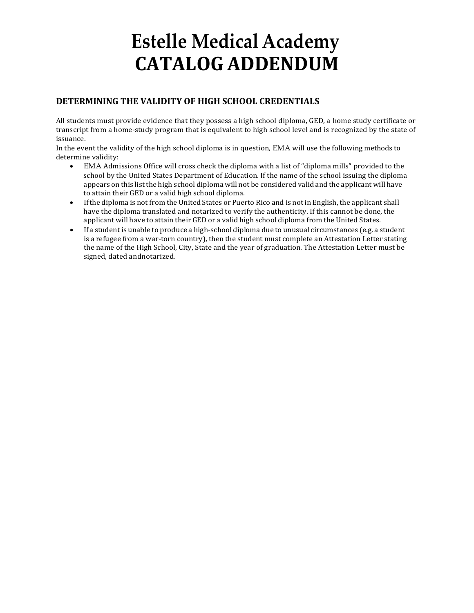# **Estelle Medical Academy CATALOG ADDENDUM**

## **DETERMINING THE VALIDITY OF HIGH SCHOOL CREDENTIALS**

All students must provide evidence that they possess a high school diploma, GED, a home study certificate or transcript from a home-study program that is equivalent to high school level and is recognized by the state of issuance.

In the event the validity of the high school diploma is in question, EMA will use the following methods to determine validity:

- EMA Admissions Office will cross check the diploma with a list of "diploma mills" provided to the school by the United States Department of Education. If the name of the school issuing the diploma appears on this listthe high school diploma will not be considered valid and the applicant will have to attain their GED or a valid high school diploma.
- Ifthe diploma is not from the United States or Puerto Rico and is not in English, the applicant shall have the diploma translated and notarized to verify the authenticity. If this cannot be done, the applicant will have to attain their GED or a valid high school diploma from the United States.
- If a student is unable to produce a high-school diploma due to unusual circumstances (e.g. a student is a refugee from a war-torn country), then the student must complete an Attestation Letter stating the name of the High School, City, State and the year of graduation. The Attestation Letter must be signed, dated andnotarized.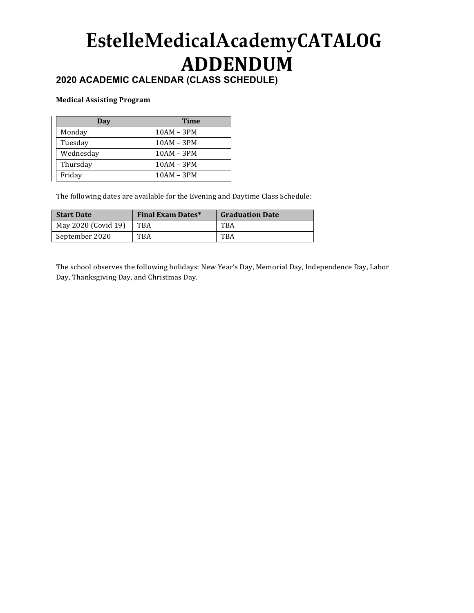# **EstelleMedicalAcademyCATALOG ADDENDUM**

# **2020 ACADEMIC CALENDAR (CLASS SCHEDULE)**

## **Medical Assisting Program**

| Day       | Time         |
|-----------|--------------|
| Monday    | $10AM - 3PM$ |
| Tuesday   | $10AM - 3PM$ |
| Wednesday | $10AM - 3PM$ |
| Thursday  | $10AM - 3PM$ |
| Friday    | $10AM - 3PM$ |

The following dates are available for the Evening and Daytime Class Schedule:

| <b>Start Date</b>   | <b>Final Exam Dates*</b> | <b>Graduation Date</b> |
|---------------------|--------------------------|------------------------|
| May 2020 (Covid 19) | TBA                      | TBA                    |
| September 2020      | TBA                      | TBA                    |

The school observes the following holidays: New Year's Day, Memorial Day, Independence Day, Labor Day, Thanksgiving Day, and Christmas Day.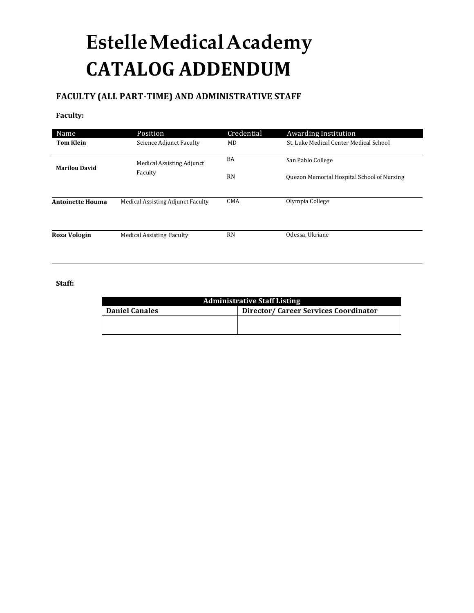# **EstelleMedicalAcademy CATALOG ADDENDUM**

# **FACULTY (ALL PART-TIME) AND ADMINISTRATIVE STAFF**

### **Faculty:**

| Name                                                                   | Position                             | Credential | <b>Awarding Institution</b>                |
|------------------------------------------------------------------------|--------------------------------------|------------|--------------------------------------------|
| <b>Tom Klein</b>                                                       | <b>Science Adjunct Faculty</b>       | MD         | St. Luke Medical Center Medical School     |
| <b>Marilou David</b><br><b>Antoinette Houma</b><br><b>Roza Vologin</b> | Medical Assisting Adjunct<br>Faculty | BA         | San Pablo College                          |
|                                                                        |                                      | <b>RN</b>  | Quezon Memorial Hospital School of Nursing |
|                                                                        | Medical Assisting Adjunct Faculty    | <b>CMA</b> | Olympia College                            |
|                                                                        | <b>Medical Assisting Faculty</b>     | <b>RN</b>  | Odessa, Ukriane                            |
|                                                                        |                                      |            |                                            |

## **Staff:**

| <b>Administrative Staff Listing</b> |                                      |  |  |
|-------------------------------------|--------------------------------------|--|--|
| <b>Daniel Canales</b>               | Director/Career Services Coordinator |  |  |
|                                     |                                      |  |  |
|                                     |                                      |  |  |